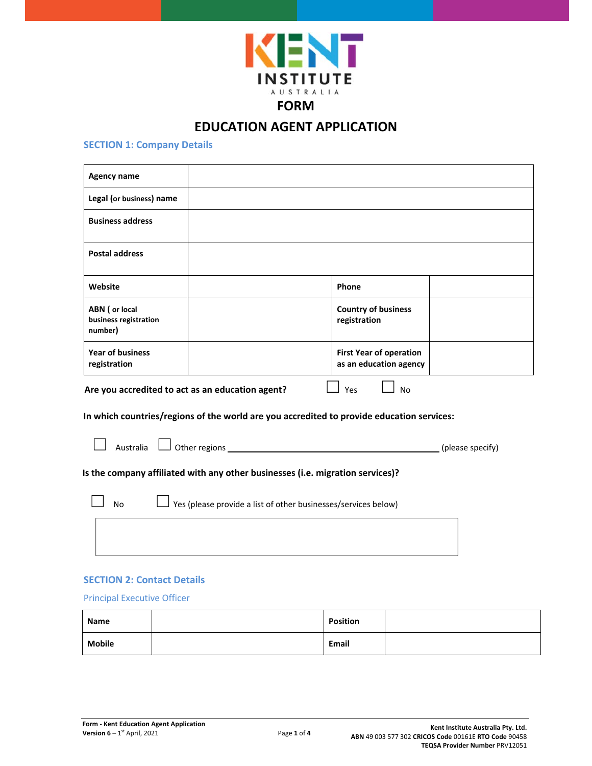

# **EDUCATION AGENT APPLICATION**

# **SECTION 1: Company Details**

| <b>Agency name</b>                                 |                                                                                |                                                                                                               |                  |
|----------------------------------------------------|--------------------------------------------------------------------------------|---------------------------------------------------------------------------------------------------------------|------------------|
| Legal (or business) name                           |                                                                                |                                                                                                               |                  |
| <b>Business address</b>                            |                                                                                |                                                                                                               |                  |
| <b>Postal address</b>                              |                                                                                |                                                                                                               |                  |
| Website                                            |                                                                                | Phone                                                                                                         |                  |
| ABN ( or local<br>business registration<br>number) |                                                                                | <b>Country of business</b><br>registration                                                                    |                  |
| <b>Year of business</b><br>registration            |                                                                                | <b>First Year of operation</b><br>as an education agency                                                      |                  |
|                                                    | Are you accredited to act as an education agent?                               | Yes<br><b>No</b><br>In which countries/regions of the world are you accredited to provide education services: |                  |
|                                                    | Australia $\Box$ Other regions $\Box$                                          |                                                                                                               | (please specify) |
|                                                    | Is the company affiliated with any other businesses (i.e. migration services)? |                                                                                                               |                  |
| <b>No</b>                                          | Yes (please provide a list of other businesses/services below)                 |                                                                                                               |                  |
|                                                    |                                                                                |                                                                                                               |                  |
|                                                    |                                                                                |                                                                                                               |                  |

# **SECTION 2: Contact Details**

# Principal Executive Officer

| Name          | <b>Position</b> |  |
|---------------|-----------------|--|
| <b>Mobile</b> | Email           |  |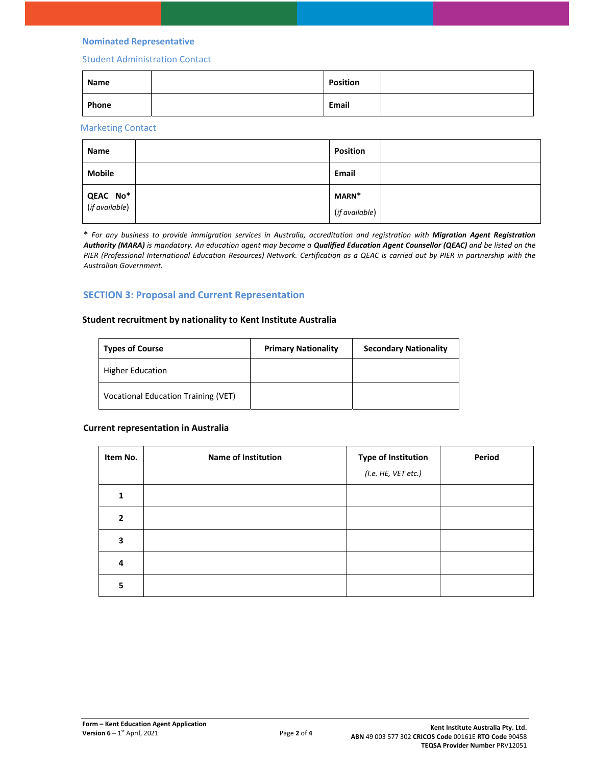#### **Nominated Representative**

## Student Administration Contact

| Name  | <b>Position</b> |  |
|-------|-----------------|--|
| Phone | Email           |  |

# Marketing Contact

| Name                              | <b>Position</b> |  |
|-----------------------------------|-----------------|--|
| <b>Mobile</b>                     | <b>Email</b>    |  |
| <b>QEAC No*</b><br>(if available) | MARN*           |  |
|                                   | (if available)  |  |

**\*** *For any business to provide immigration services in Australia, accreditation and registration with Migration Agent Registration Authority (MARA) is mandatory. An education agent may become a Qualified Education Agent Counsellor (QEAC) and be listed on the PIER (Professional International Education Resources) Network. Certification as a QEAC is carried out by PIER in partnership with the Australian Government.* 

# **SECTION 3: Proposal and Current Representation**

#### **Student recruitment by nationality to Kent Institute Australia**

| <b>Types of Course</b>                     | <b>Primary Nationality</b> | <b>Secondary Nationality</b> |
|--------------------------------------------|----------------------------|------------------------------|
| <b>Higher Education</b>                    |                            |                              |
| <b>Vocational Education Training (VET)</b> |                            |                              |

#### **Current representation in Australia**

| Item No.     | Name of Institution | <b>Type of Institution</b><br>(I.e. HE, VET etc.) | Period |
|--------------|---------------------|---------------------------------------------------|--------|
|              |                     |                                                   |        |
| $\mathbf{2}$ |                     |                                                   |        |
| 3            |                     |                                                   |        |
| 4            |                     |                                                   |        |
| 5            |                     |                                                   |        |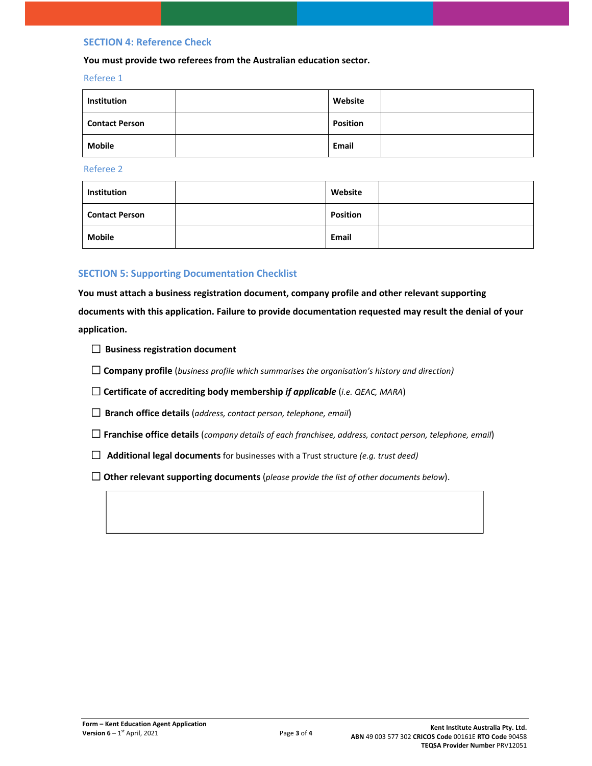## **SECTION 4: Reference Check**

#### **You must provide two referees from the Australian education sector.**

#### Referee 1

| Institution           | Website         |  |
|-----------------------|-----------------|--|
| <b>Contact Person</b> | <b>Position</b> |  |
| <b>Mobile</b>         | Email           |  |

Referee 2

| Institution           | Website         |  |
|-----------------------|-----------------|--|
| <b>Contact Person</b> | <b>Position</b> |  |
| Mobile                | <b>Email</b>    |  |

# **SECTION 5: Supporting Documentation Checklist**

**You must attach a business registration document, company profile and other relevant supporting documents with this application. Failure to provide documentation requested may result the denial of your application.** 

- ☐ **Business registration document**
- ☐ **Company profile** (*business profile which summarises the organisation's history and direction)*
- ☐ **Certificate of accrediting body membership** *if applicable* (*i.e. QEAC, MARA*)
- ☐ **Branch office details** (*address, contact person, telephone, email*)
- ☐ **Franchise office details** (*company details of each franchisee, address, contact person, telephone, email*)
- ☐ **Additional legal documents** for businesses with a Trust structure *(e.g. trust deed)*
- ☐ **Other relevant supporting documents** (*please provide the list of other documents below*).